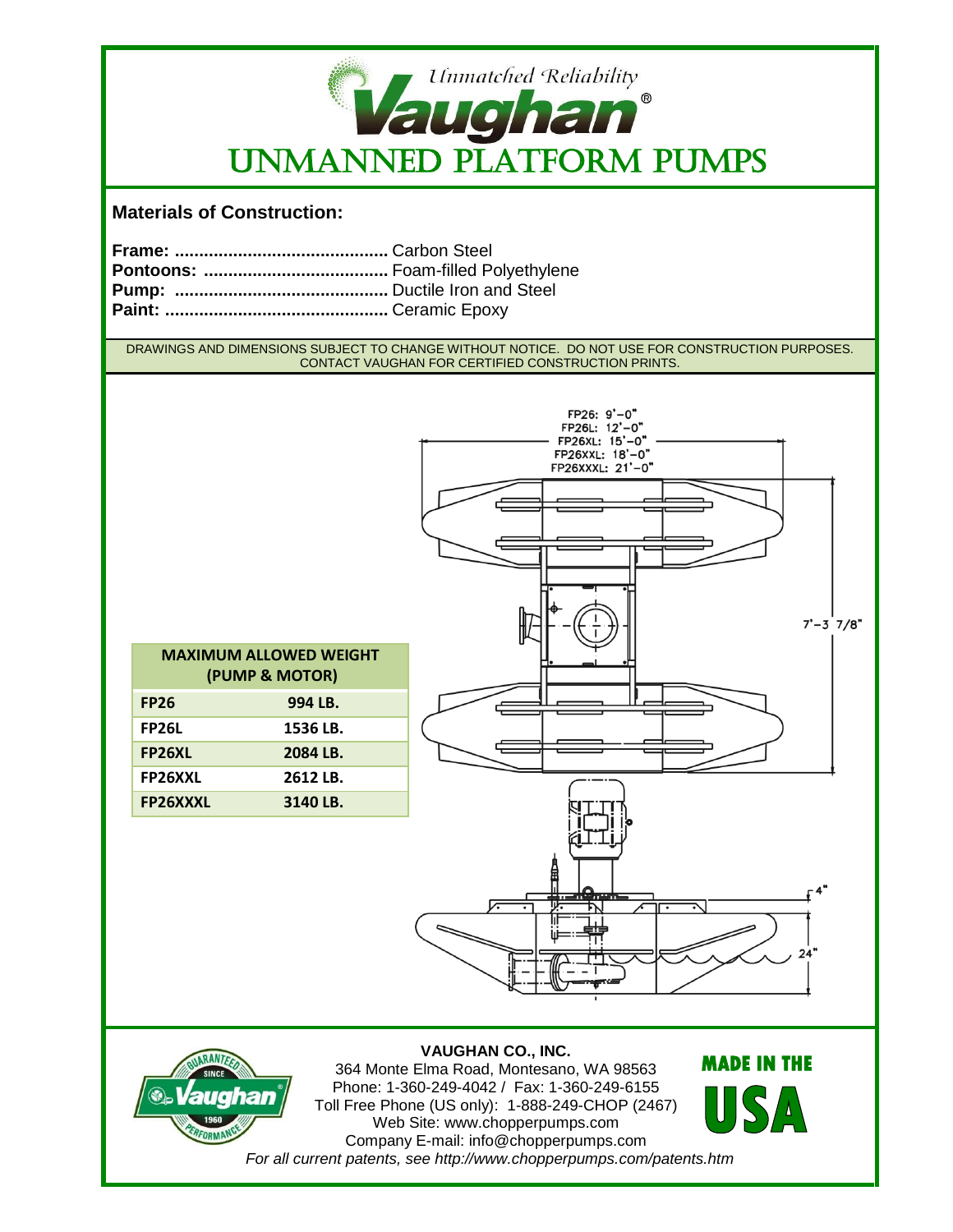

## **Materials of Construction:**

DRAWINGS AND DIMENSIONS SUBJECT TO CHANGE WITHOUT NOTICE. DO NOT USE FOR CONSTRUCTION PURPOSES. CONTACT VAUGHAN FOR CERTIFIED CONSTRUCTION PRINTS.





**VAUGHAN CO., INC.** 364 Monte Elma Road, Montesano, WA 98563 Phone: 1-360-249-4042 / Fax: 1-360-249-6155 Toll Free Phone (US only): 1-888-249-CHOP (2467) Web Site: www.chopperpumps.com Company E-mail: info@chopperpumps.com *For all current patents, see http://www.chopperpumps.com/patents.htm* **MADE IN THE**